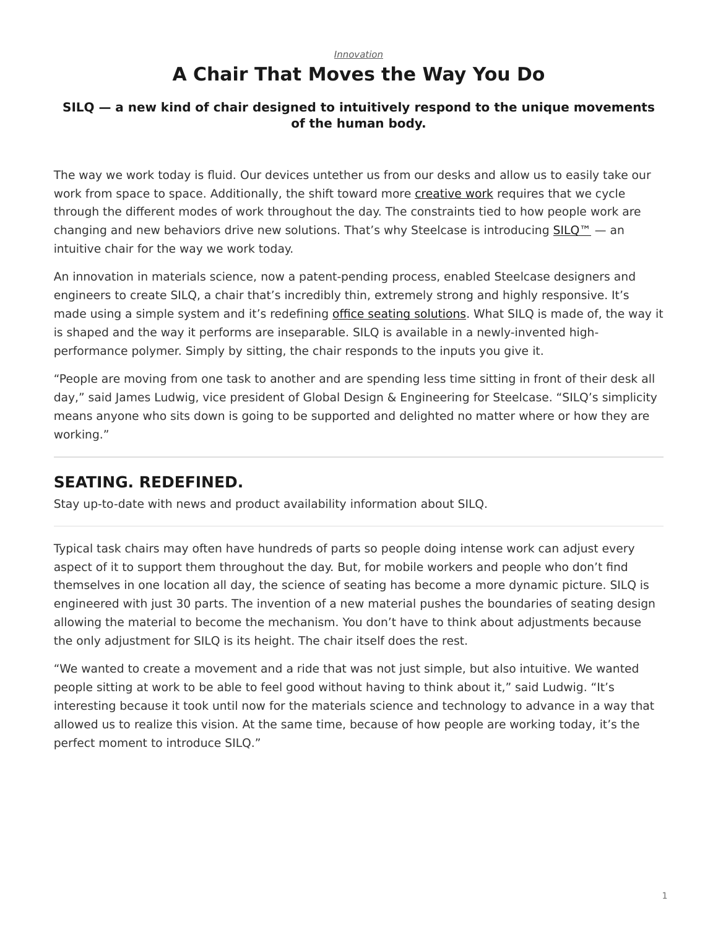## *[Innovation](https://www.steelcase.com/research/topics/innovation/)* **A Chair That Moves the Way You Do**

### <span id="page-0-0"></span>**SILQ — a new kind of chair designed to intuitively respond to the unique movements of the human body.**

The way we work today is fluid. Our devices untether us from our desks and allow us to easily take our work from space to space. Additionally, the shift toward more [creative work](https://www.steelcase.com/research/articles/topics/creativity/creative-shift/) requires that we cycle through the different modes of work throughout the day. The constraints tied to how people work are changing and new behaviors drive new solutions. That's why Steelcase is introducing  $SLO^m -$  an intuitive chair for the way we work today.

An innovation in materials science, now a patent-pending process, enabled Steelcase designers and engineers to create SILQ, a chair that's incredibly thin, extremely strong and highly responsive. It's made using a simple system and it's redefining [office seating solutions.](https://www.steelcase.com/products/office-chairs/) What SILQ is made of, the way it is shaped and the way it performs are inseparable. SILQ is available in a newly-invented highperformance polymer. Simply by sitting, the chair responds to the inputs you give it.

"People are moving from one task to another and are spending less time sitting in front of their desk all day," said James Ludwig, vice president of Global Design & Engineering for Steelcase. "SILQ's simplicity means anyone who sits down is going to be supported and delighted no matter where or how they are working."

# **SEATING. REDEFINED.**

Stay up-to-date with news and product availability information about SILQ.

Typical task chairs may often have hundreds of parts so people doing intense work can adjust every aspect of it to support them throughout the day. But, for mobile workers and people who don't find themselves in one location all day, the science of seating has become a more dynamic picture. SILQ is engineered with just 30 parts. The invention of a new material pushes the boundaries of seating design allowing the material to become the mechanism. You don't have to think about adjustments because the only adjustment for SILQ is its height. The chair itself does the rest.

"We wanted to create a movement and a ride that was not just simple, but also intuitive. We wanted people sitting at work to be able to feel good without having to think about it," said Ludwig. "It's interesting because it took until now for the materials science and technology to advance in a way that allowed us to realize this vision. At the same time, because of how people are working today, it's the perfect moment to introduce SILQ."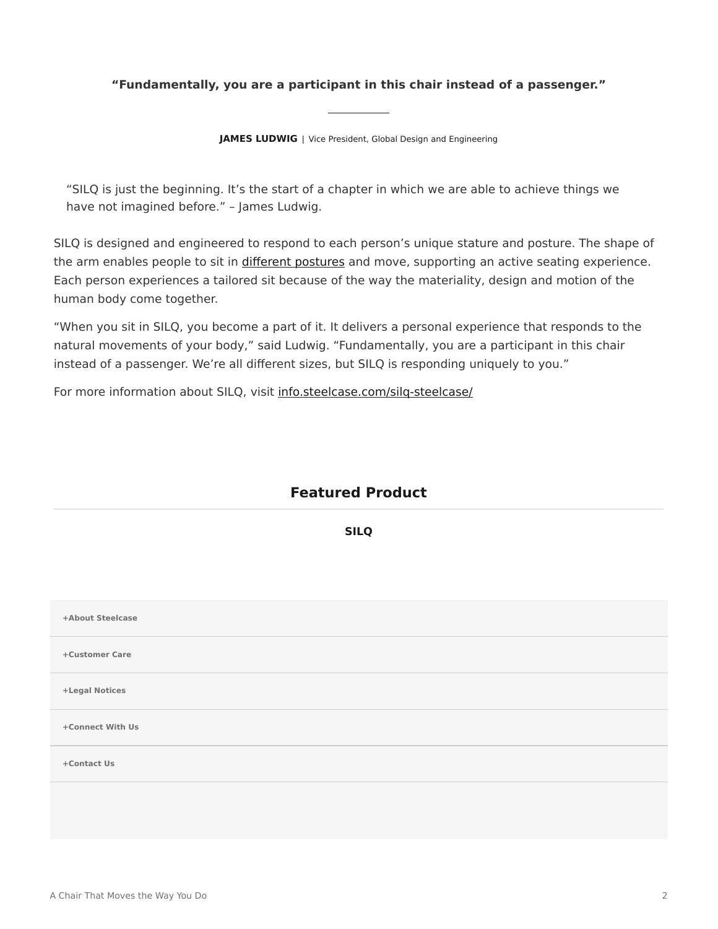#### **"Fundamentally, you are a participant in this chair instead of a passenger."**

**JAMES LUDWIG** | Vice President, Global Design and Engineering

"SILQ is just the beginning. It's the start of a chapter in which we are able to achieve things we have not imagined before." – James Ludwig.

SILQ is designed and engineered to respond to each person's unique stature and posture. The shape of the arm enables people to sit in [different postures](https://www.steelcase.com/research/articles/topics/wellbeing/posture-support-changing-workplace/) and move, supporting an active seating experience. Each person experiences a tailored sit because of the way the materiality, design and motion of the human body come together.

"When you sit in SILQ, you become a part of it. It delivers a personal experience that responds to the natural movements of your body," said Ludwig. "Fundamentally, you are a participant in this chair instead of a passenger. We're all different sizes, but SILQ is responding uniquely to you."

For more information about SILQ, visit [info.steelcase.com/silq-steelcase/](https://info.steelcase.com/silq-steelcase?utm_source=dotcom&utm_medium=blog-post&utm_campaign=silq&utm_content=silq-lander)

## **Featured Product**